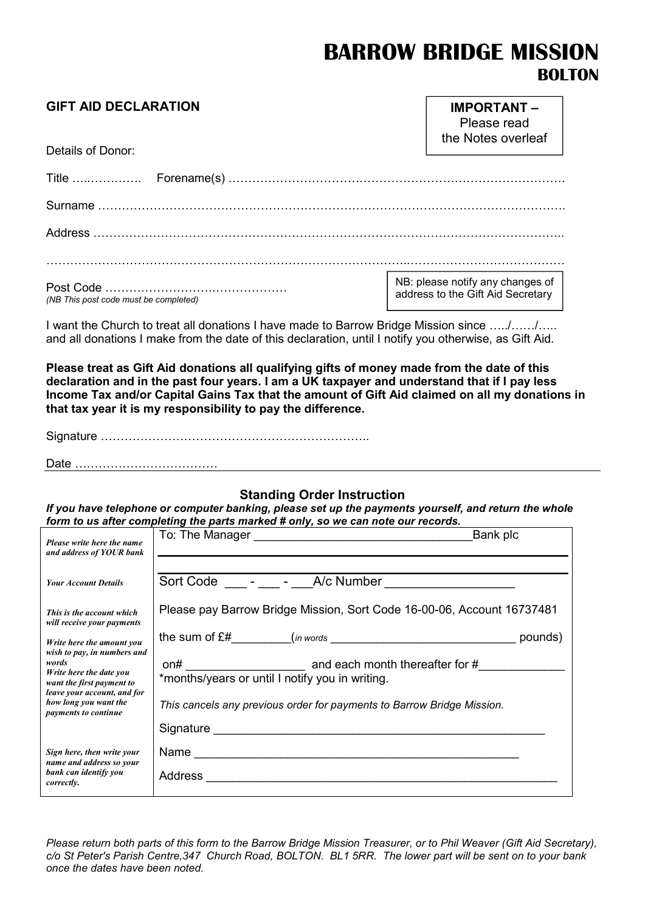# BARROW BRIDGE MISSION BOLTON

IMPORTANT –

## GIFT AID DECLARATION

| Details of Donor:                     | Please read<br>the Notes overleaf                                     |
|---------------------------------------|-----------------------------------------------------------------------|
|                                       |                                                                       |
|                                       |                                                                       |
|                                       |                                                                       |
|                                       |                                                                       |
|                                       |                                                                       |
| (NB This post code must be completed) | NB: please notify any changes of<br>address to the Gift Aid Secretary |

I want the Church to treat all donations I have made to Barrow Bridge Mission since …../……/….. and all donations I make from the date of this declaration, until I notify you otherwise, as Gift Aid.

Please treat as Gift Aid donations all qualifying gifts of money made from the date of this declaration and in the past four years. I am a UK taxpayer and understand that if I pay less Income Tax and/or Capital Gains Tax that the amount of Gift Aid claimed on all my donations in that tax year it is my responsibility to pay the difference.

Signature …………………………………………………………..

Date ………………………………

#### Standing Order Instruction

If you have telephone or computer banking, please set up the payments yourself, and return the whole form to us after completing the parts marked # only, so we can note our records.

| Please write here the name<br>and address of YOUR bank                                       | Bank plc                                                                                                                                                                                                                       |
|----------------------------------------------------------------------------------------------|--------------------------------------------------------------------------------------------------------------------------------------------------------------------------------------------------------------------------------|
| <b>Your Account Details</b>                                                                  | Sort Code - - A/c Number                                                                                                                                                                                                       |
| This is the account which<br>will receive your payments                                      | Please pay Barrow Bridge Mission, Sort Code 16-00-06, Account 16737481                                                                                                                                                         |
| Write here the amount you                                                                    | pounds)                                                                                                                                                                                                                        |
| wish to pay, in numbers and<br>words<br>Write here the date you<br>want the first payment to | on# $\begin{array}{r} \begin{array}{c} \begin{array}{c} \end{array} \end{array}$ and each month thereafter for #____________<br>*months/years or until I notify you in writing.                                                |
| leave your account, and for<br>how long you want the<br>payments to continue                 | This cancels any previous order for payments to Barrow Bridge Mission.                                                                                                                                                         |
|                                                                                              | Signature Signature Signature Signature Signature Signature Signature Signature Signature Signature Signature Signature Signature Signature Signature Signature Signature Signature Signature Signature Signature Signature Si |
| Sign here, then write your                                                                   |                                                                                                                                                                                                                                |
| name and address so your<br>bank can identify you<br>correctly.                              |                                                                                                                                                                                                                                |

Please return both parts of this form to the Barrow Bridge Mission Treasurer, or to Phil Weaver (Gift Aid Secretary), c/o St Peter's Parish Centre,347 Church Road, BOLTON. BL1 5RR. The lower part will be sent on to your bank once the dates have been noted.